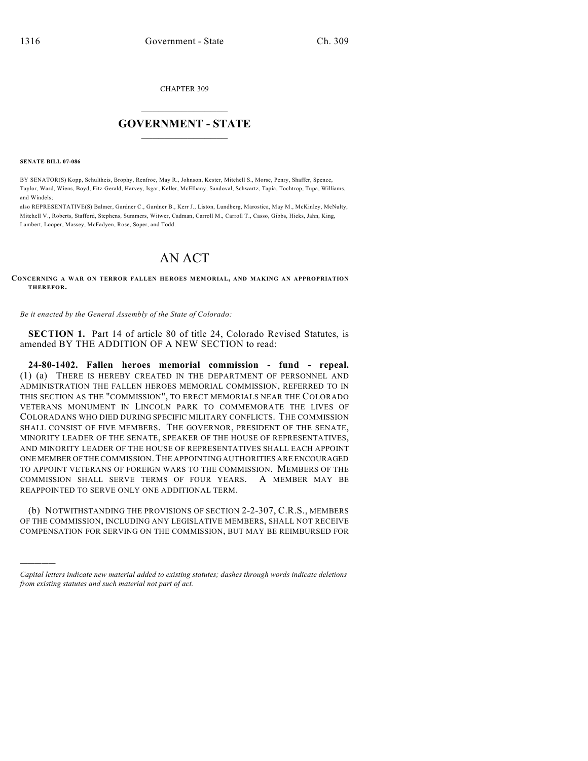CHAPTER 309

## $\overline{\phantom{a}}$  . The set of the set of the set of the set of the set of the set of the set of the set of the set of the set of the set of the set of the set of the set of the set of the set of the set of the set of the set o **GOVERNMENT - STATE**  $\_$

**SENATE BILL 07-086**

)))))

BY SENATOR(S) Kopp, Schultheis, Brophy, Renfroe, May R., Johnson, Kester, Mitchell S., Morse, Penry, Shaffer, Spence, Taylor, Ward, Wiens, Boyd, Fitz-Gerald, Harvey, Isgar, Keller, McElhany, Sandoval, Schwartz, Tapia, Tochtrop, Tupa, Williams, and Windels;

also REPRESENTATIVE(S) Balmer, Gardner C., Gardner B., Kerr J., Liston, Lundberg, Marostica, May M., McKinley, McNulty, Mitchell V., Roberts, Stafford, Stephens, Summers, Witwer, Cadman, Carroll M., Carroll T., Casso, Gibbs, Hicks, Jahn, King, Lambert, Looper, Massey, McFadyen, Rose, Soper, and Todd.

## AN ACT

**CONCERNING A WAR ON TERROR FALLEN HEROES MEMORIAL, AND MAKING AN APPROPRIATION THEREFOR.**

*Be it enacted by the General Assembly of the State of Colorado:*

**SECTION 1.** Part 14 of article 80 of title 24, Colorado Revised Statutes, is amended BY THE ADDITION OF A NEW SECTION to read:

**24-80-1402. Fallen heroes memorial commission - fund - repeal.** (1) (a) THERE IS HEREBY CREATED IN THE DEPARTMENT OF PERSONNEL AND ADMINISTRATION THE FALLEN HEROES MEMORIAL COMMISSION, REFERRED TO IN THIS SECTION AS THE "COMMISSION", TO ERECT MEMORIALS NEAR THE COLORADO VETERANS MONUMENT IN LINCOLN PARK TO COMMEMORATE THE LIVES OF COLORADANS WHO DIED DURING SPECIFIC MILITARY CONFLICTS. THE COMMISSION SHALL CONSIST OF FIVE MEMBERS. THE GOVERNOR, PRESIDENT OF THE SENATE, MINORITY LEADER OF THE SENATE, SPEAKER OF THE HOUSE OF REPRESENTATIVES, AND MINORITY LEADER OF THE HOUSE OF REPRESENTATIVES SHALL EACH APPOINT ONE MEMBER OF THE COMMISSION.THE APPOINTING AUTHORITIES ARE ENCOURAGED TO APPOINT VETERANS OF FOREIGN WARS TO THE COMMISSION. MEMBERS OF THE COMMISSION SHALL SERVE TERMS OF FOUR YEARS. A MEMBER MAY BE REAPPOINTED TO SERVE ONLY ONE ADDITIONAL TERM.

(b) NOTWITHSTANDING THE PROVISIONS OF SECTION 2-2-307, C.R.S., MEMBERS OF THE COMMISSION, INCLUDING ANY LEGISLATIVE MEMBERS, SHALL NOT RECEIVE COMPENSATION FOR SERVING ON THE COMMISSION, BUT MAY BE REIMBURSED FOR

*Capital letters indicate new material added to existing statutes; dashes through words indicate deletions from existing statutes and such material not part of act.*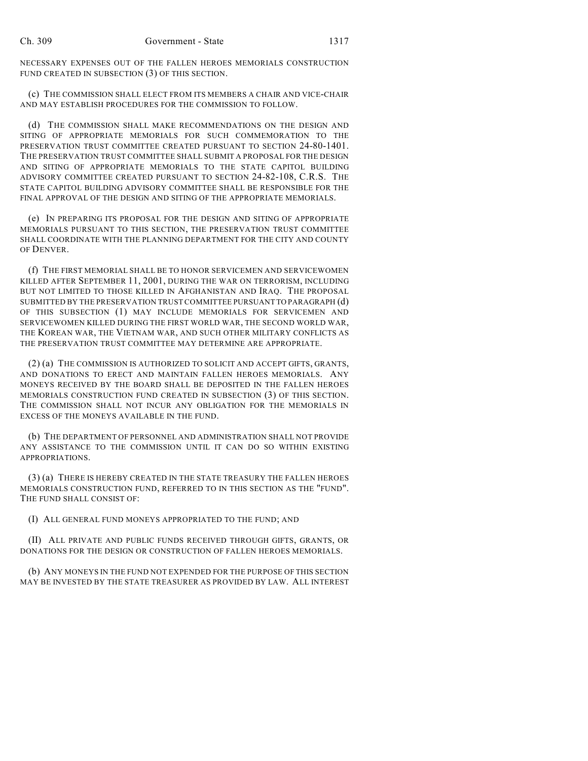NECESSARY EXPENSES OUT OF THE FALLEN HEROES MEMORIALS CONSTRUCTION FUND CREATED IN SUBSECTION (3) OF THIS SECTION.

(c) THE COMMISSION SHALL ELECT FROM ITS MEMBERS A CHAIR AND VICE-CHAIR AND MAY ESTABLISH PROCEDURES FOR THE COMMISSION TO FOLLOW.

(d) THE COMMISSION SHALL MAKE RECOMMENDATIONS ON THE DESIGN AND SITING OF APPROPRIATE MEMORIALS FOR SUCH COMMEMORATION TO THE PRESERVATION TRUST COMMITTEE CREATED PURSUANT TO SECTION 24-80-1401. THE PRESERVATION TRUST COMMITTEE SHALL SUBMIT A PROPOSAL FOR THE DESIGN AND SITING OF APPROPRIATE MEMORIALS TO THE STATE CAPITOL BUILDING ADVISORY COMMITTEE CREATED PURSUANT TO SECTION 24-82-108, C.R.S. THE STATE CAPITOL BUILDING ADVISORY COMMITTEE SHALL BE RESPONSIBLE FOR THE FINAL APPROVAL OF THE DESIGN AND SITING OF THE APPROPRIATE MEMORIALS.

(e) IN PREPARING ITS PROPOSAL FOR THE DESIGN AND SITING OF APPROPRIATE MEMORIALS PURSUANT TO THIS SECTION, THE PRESERVATION TRUST COMMITTEE SHALL COORDINATE WITH THE PLANNING DEPARTMENT FOR THE CITY AND COUNTY OF DENVER.

(f) THE FIRST MEMORIAL SHALL BE TO HONOR SERVICEMEN AND SERVICEWOMEN KILLED AFTER SEPTEMBER 11, 2001, DURING THE WAR ON TERRORISM, INCLUDING BUT NOT LIMITED TO THOSE KILLED IN AFGHANISTAN AND IRAQ. THE PROPOSAL SUBMITTED BY THE PRESERVATION TRUST COMMITTEE PURSUANT TO PARAGRAPH (d) OF THIS SUBSECTION (1) MAY INCLUDE MEMORIALS FOR SERVICEMEN AND SERVICEWOMEN KILLED DURING THE FIRST WORLD WAR, THE SECOND WORLD WAR, THE KOREAN WAR, THE VIETNAM WAR, AND SUCH OTHER MILITARY CONFLICTS AS THE PRESERVATION TRUST COMMITTEE MAY DETERMINE ARE APPROPRIATE.

(2) (a) THE COMMISSION IS AUTHORIZED TO SOLICIT AND ACCEPT GIFTS, GRANTS, AND DONATIONS TO ERECT AND MAINTAIN FALLEN HEROES MEMORIALS. ANY MONEYS RECEIVED BY THE BOARD SHALL BE DEPOSITED IN THE FALLEN HEROES MEMORIALS CONSTRUCTION FUND CREATED IN SUBSECTION (3) OF THIS SECTION. THE COMMISSION SHALL NOT INCUR ANY OBLIGATION FOR THE MEMORIALS IN EXCESS OF THE MONEYS AVAILABLE IN THE FUND.

(b) THE DEPARTMENT OF PERSONNEL AND ADMINISTRATION SHALL NOT PROVIDE ANY ASSISTANCE TO THE COMMISSION UNTIL IT CAN DO SO WITHIN EXISTING APPROPRIATIONS.

(3) (a) THERE IS HEREBY CREATED IN THE STATE TREASURY THE FALLEN HEROES MEMORIALS CONSTRUCTION FUND, REFERRED TO IN THIS SECTION AS THE "FUND". THE FUND SHALL CONSIST OF:

(I) ALL GENERAL FUND MONEYS APPROPRIATED TO THE FUND; AND

(II) ALL PRIVATE AND PUBLIC FUNDS RECEIVED THROUGH GIFTS, GRANTS, OR DONATIONS FOR THE DESIGN OR CONSTRUCTION OF FALLEN HEROES MEMORIALS.

(b) ANY MONEYS IN THE FUND NOT EXPENDED FOR THE PURPOSE OF THIS SECTION MAY BE INVESTED BY THE STATE TREASURER AS PROVIDED BY LAW. ALL INTEREST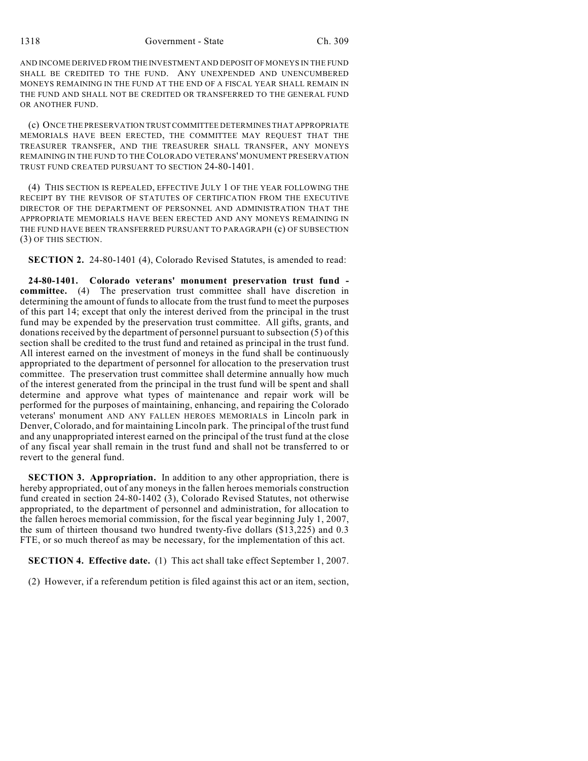1318 Government - State Ch. 309

AND INCOME DERIVED FROM THE INVESTMENT AND DEPOSIT OF MONEYS IN THE FUND SHALL BE CREDITED TO THE FUND. ANY UNEXPENDED AND UNENCUMBERED MONEYS REMAINING IN THE FUND AT THE END OF A FISCAL YEAR SHALL REMAIN IN THE FUND AND SHALL NOT BE CREDITED OR TRANSFERRED TO THE GENERAL FUND OR ANOTHER FUND.

(c) ONCE THE PRESERVATION TRUST COMMITTEE DETERMINES THAT APPROPRIATE MEMORIALS HAVE BEEN ERECTED, THE COMMITTEE MAY REQUEST THAT THE TREASURER TRANSFER, AND THE TREASURER SHALL TRANSFER, ANY MONEYS REMAINING IN THE FUND TO THE COLORADO VETERANS' MONUMENT PRESERVATION TRUST FUND CREATED PURSUANT TO SECTION 24-80-1401.

(4) THIS SECTION IS REPEALED, EFFECTIVE JULY 1 OF THE YEAR FOLLOWING THE RECEIPT BY THE REVISOR OF STATUTES OF CERTIFICATION FROM THE EXECUTIVE DIRECTOR OF THE DEPARTMENT OF PERSONNEL AND ADMINISTRATION THAT THE APPROPRIATE MEMORIALS HAVE BEEN ERECTED AND ANY MONEYS REMAINING IN THE FUND HAVE BEEN TRANSFERRED PURSUANT TO PARAGRAPH (c) OF SUBSECTION (3) OF THIS SECTION.

**SECTION 2.** 24-80-1401 (4), Colorado Revised Statutes, is amended to read:

**24-80-1401. Colorado veterans' monument preservation trust fund committee.** (4) The preservation trust committee shall have discretion in determining the amount of funds to allocate from the trust fund to meet the purposes of this part 14; except that only the interest derived from the principal in the trust fund may be expended by the preservation trust committee. All gifts, grants, and donations received by the department of personnel pursuant to subsection (5) of this section shall be credited to the trust fund and retained as principal in the trust fund. All interest earned on the investment of moneys in the fund shall be continuously appropriated to the department of personnel for allocation to the preservation trust committee. The preservation trust committee shall determine annually how much of the interest generated from the principal in the trust fund will be spent and shall determine and approve what types of maintenance and repair work will be performed for the purposes of maintaining, enhancing, and repairing the Colorado veterans' monument AND ANY FALLEN HEROES MEMORIALS in Lincoln park in Denver, Colorado, and for maintaining Lincoln park. The principal of the trust fund and any unappropriated interest earned on the principal of the trust fund at the close of any fiscal year shall remain in the trust fund and shall not be transferred to or revert to the general fund.

**SECTION 3. Appropriation.** In addition to any other appropriation, there is hereby appropriated, out of any moneys in the fallen heroes memorials construction fund created in section 24-80-1402 (3), Colorado Revised Statutes, not otherwise appropriated, to the department of personnel and administration, for allocation to the fallen heroes memorial commission, for the fiscal year beginning July 1, 2007, the sum of thirteen thousand two hundred twenty-five dollars (\$13,225) and 0.3 FTE, or so much thereof as may be necessary, for the implementation of this act.

**SECTION 4. Effective date.** (1) This act shall take effect September 1, 2007.

(2) However, if a referendum petition is filed against this act or an item, section,